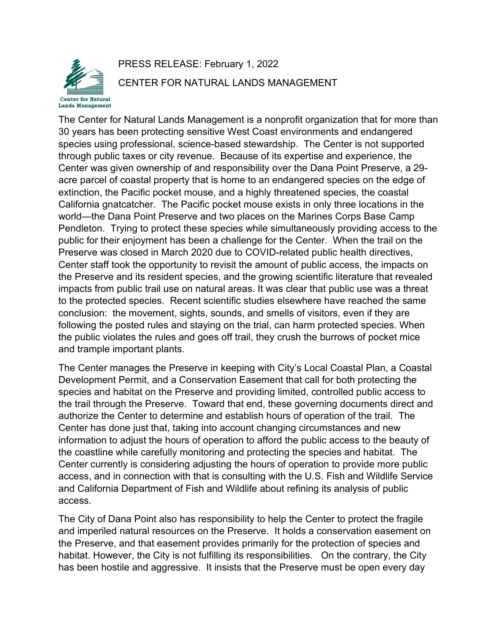

## PRESS RELEASE: February 1, 2022 CENTER FOR NATURAL LANDS MANAGEMENT

The Center for Natural Lands Management is a nonprofit organization that for more than 30 years has been protecting sensitive West Coast environments and endangered species using professional, science-based stewardship. The Center is not supported through public taxes or city revenue. Because of its expertise and experience, the Center was given ownership of and responsibility over the Dana Point Preserve, a 29 acre parcel of coastal property that is home to an endangered species on the edge of extinction, the Pacific pocket mouse, and a highly threatened species, the coastal California gnatcatcher. The Pacific pocket mouse exists in only three locations in the world—the Dana Point Preserve and two places on the Marines Corps Base Camp Pendleton. Trying to protect these species while simultaneously providing access to the public for their enjoyment has been a challenge for the Center. When the trail on the Preserve was closed in March 2020 due to COVID-related public health directives, Center staff took the opportunity to revisit the amount of public access, the impacts on the Preserve and its resident species, and the growing scientific literature that revealed impacts from public trail use on natural areas. It was clear that public use was a threat to the protected species. Recent scientific studies elsewhere have reached the same conclusion: the movement, sights, sounds, and smells of visitors, even if they are following the posted rules and staying on the trial, can harm protected species. When the public violates the rules and goes off trail, they crush the burrows of pocket mice and trample important plants.

The Center manages the Preserve in keeping with City's Local Coastal Plan, a Coastal Development Permit, and a Conservation Easement that call for both protecting the species and habitat on the Preserve and providing limited, controlled public access to the trail through the Preserve. Toward that end, these governing documents direct and authorize the Center to determine and establish hours of operation of the trail. The Center has done just that, taking into account changing circumstances and new information to adjust the hours of operation to afford the public access to the beauty of the coastline while carefully monitoring and protecting the species and habitat. The Center currently is considering adjusting the hours of operation to provide more public access, and in connection with that is consulting with the U.S. Fish and Wildlife Service and California Department of Fish and Wildlife about refining its analysis of public access.

The City of Dana Point also has responsibility to help the Center to protect the fragile and imperiled natural resources on the Preserve. It holds a conservation easement on the Preserve, and that easement provides primarily for the protection of species and habitat. However, the City is not fulfilling its responsibilities. On the contrary, the City has been hostile and aggressive. It insists that the Preserve must be open every day